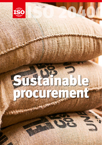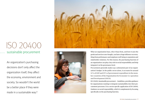# ISO 20400 sustainable procurement

An organization's purchasing decisions don't only affect the organization itself, they affect the economy, environment and society. So wouldn't the world be a better place if they were made in a sustainable way ?





What an organization buys, who it buys from, and how it uses the goods and services once bought, can have a huge influence on everything from performance and employee well-being to reputation and stakeholder relations. For this reason, the purchasing function of an organization can play a key role in social responsibility and help integrate it at the governance level.

Procurement generally makes up a substantial part of an organi zation's budget. In the public sector alone, it accounts for around **[12% of GDP and 29% of government expenditure in the mem](http://www.oecd.org/gov/ethics/public-procurement.htm) [ber countries](http://www.oecd.org/gov/ethics/public-procurement.htm) of the Organisation for Economic Co-operation and Development (OECD )** .

ISO 20400, *Sustainable procurement – Guidelines*, provides guidance for organizations wanting to integrate sustainability into their pro curement processes. It is a sector -specific application of ISO 26000, *Guidance on social responsibility*, which it complements by focusing specifically on the purchasing function.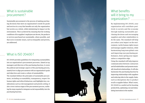## What is sustainable procurement ?

Sustainable procurement is the process of making purchas ing decisions that meet an organization's needs for goods and services in a way that benefits not only the organization but society as a whole, while minimizing its impact on the environment. This is achieved by ensuring that the working conditions of its suppliers' employees are decent, the products or services purchased are sustainable, where possible, and that socio -economic issues, such as inequality and poverty, are addressed.

### What is ISO 20400 ?

ISO 20400 provides guidelines for integrating sustainability into an organization's procurement processes. Aimed at top managers and directors of the purchasing function, it covers the political and strategic aspects of the purchasing process, namely how to align procurement with an organization's goals and objectives and create a culture of sustainability.

The standard defines the principles of sustainable procure ment, including accountability, transparency, respect for human rights and ethical behaviour, and highlights key con siderations such as risk management and priority setting. It also covers various stages of the procurement process, outlin ing the steps required to integrate social responsibility into the purchasing function.



# What benefits will it bring to my organization ?

By implementing ISO 20400, your organization will contribute posi tively to society and the economy through making sustainable pur chasing decisions and encouraging suppliers and other stakeholders to do the same. The standard will help you reduce your impact on the envi ronment, tackle human rights issues and manage supplier relations, while harmonizing long -term global costs and improving your purchasing per formance, hence giving your organi zation a competitive edge.

Using the standard will help improve communication between contractors and all stakeholders and promote mutu ally beneficial relationships. It will also harmonize the purchasing function by improving relationships with suppliers and reducing risks in the supply chain, such as disruptions due to product recall or supplier failure. What's more, ISO 20400 is a useful tool for boosting productivity, optimizing cost and stimu lating innovation in the market.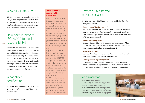# Who is ISO 20400 for?

ISO 20400 is aimed at organizations of all sizes, in both the public and private sectors, as it applies to virtually every purchasing decision from office supplies and caterers to energy providers, building materials and more.

## How does it relate to ISO 26000 for social responsibility?

Sustainable procurement is a key aspect of social responsibility. ISO 26000 formed the basis of ISO 20400, drawing on the same principles and core subjects of human rights, labour practices and fair business practices. As such, ISO 20400 will help individuals working in procurement to integrate the principles of social responsibility as described in ISO 26000 within the purchasing process.

### What about certification?

ISO 20400 provides guidelines, not requirements. It is therefore not intended for certification purposes.

### **Taking sustainable procurement to the next level**

Many organizations are already implementing sustainable procurement practices into their processes. International chemicals and plastics manufacturer Braskem, for example, already boasts a Code of Conduct for Ethanol Suppliers, coupled with a continuous improvement programme, that allows suppliers to benchmark themselves against others and track progress over time.

Itaipu Binacional, the world's largest hydroelectric power plant, which was involved in the development of ISO 20400, already has a sustainable purchasing policy and programme in place aimed at embedding a culture of sustainability in the organization and ensuring that every purchase takes sustainability into account. ISO 20400 will also help other organizations build sustainability into their procurement processes and refine existing programmes and systems, drawing on expertise and best practice from all over the world.

# How can I get started with ISO 20400?

an<br>Barat di Barat di Barat di Barat di Barat di Barat di Barat di Barat di Barat di Barat di Barat di Barat di B

To get the most out of ISO 20400, it is worth considering the following before getting started:

#### **• Examine your "buying culture"**

How do you buy and who do you buy from? How much control do you have over your suppliers' risks such as rupture of stock? Are your demands of your suppliers realistic? Is your organization clear of its own requirements?

### **• Know your supply chain**

Evaluate the cost of the supply chain in your organization. What proportion of your revenue goes towards paying suppliers? Do you know their societal and environmental impact?

#### **• Think strategically**

Consider the risks and opportunities of working more closely with your main suppliers – across the whole life cycle.

### **• Get buy-in from top management**

Ensure key decision makers and influencers are on board and aware of the benefits, opportunities and possible consequences of implementing sustainable procurement into your organization.

### More information

ISO Website: **[www.iso.org](http://www.iso.org)** ISOfocus magazine: **[www.iso.org/isofocus](http://www.iso.org/isofocus)** ISO videos: **[www.iso.org/youtube](file:///C:\Users\naden\AppData\Local\Microsoft\Windows\INetCache\Content.Outlook\TIDPADXN\www.iso.org\youtube)** Follow us on Twitter: **[www.iso.org/twitter](http://www.iso.org/twitter)** Join us on Facebook: **[www.iso.org/facebook](http://www.iso.org/facebook)** Join us on GooglePlus: **[www.iso.org/gplus](file:///C:\Users\naden\AppData\Local\Microsoft\Windows\INetCache\Content.Outlook\TIDPADXN\www.iso.org\gplus)**